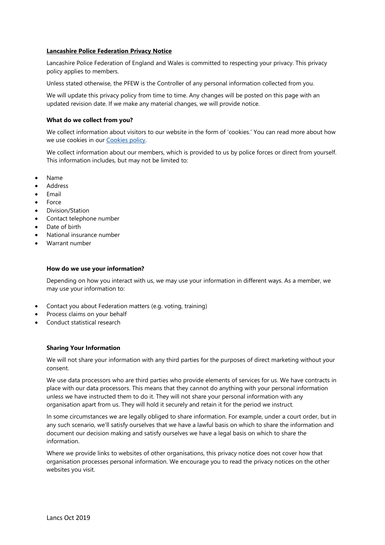## **Lancashire Police Federation Privacy Notice**

Lancashire Police Federation of England and Wales is committed to respecting your privacy. This privacy policy applies to members.

Unless stated otherwise, the PFEW is the Controller of any personal information collected from you.

We will update this privacy policy from time to time. Any changes will be posted on this page with an updated revision date. If we make any material changes, we will provide notice.

#### **What do we collect from you?**

We collect information about visitors to our website in the form of 'cookies.' You can read more about how we use cookies in our [Cookies policy.](http://www.polfed.org/cookies-policy)

We collect information about our members, which is provided to us by police forces or direct from yourself. This information includes, but may not be limited to:

- Name
- Address
- Email
- Force
- Division/Station
- Contact telephone number
- Date of birth
- National insurance number
- Warrant number

#### **How do we use your information?**

Depending on how you interact with us, we may use your information in different ways. As a member, we may use your information to:

- Contact you about Federation matters (e.g. voting, training)
- Process claims on your behalf
- Conduct statistical research

#### **Sharing Your Information**

We will not share your information with any third parties for the purposes of direct marketing without your consent.

We use data processors who are third parties who provide elements of services for us. We have contracts in place with our data processors. This means that they cannot do anything with your personal information unless we have instructed them to do it. They will not share your personal information with any organisation apart from us. They will hold it securely and retain it for the period we instruct.

In some circumstances we are legally obliged to share information. For example, under a court order, but in any such scenario, we'll satisfy ourselves that we have a lawful basis on which to share the information and document our decision making and satisfy ourselves we have a legal basis on which to share the information.

Where we provide links to websites of other organisations, this privacy notice does not cover how that organisation processes personal information. We encourage you to read the privacy notices on the other websites you visit.